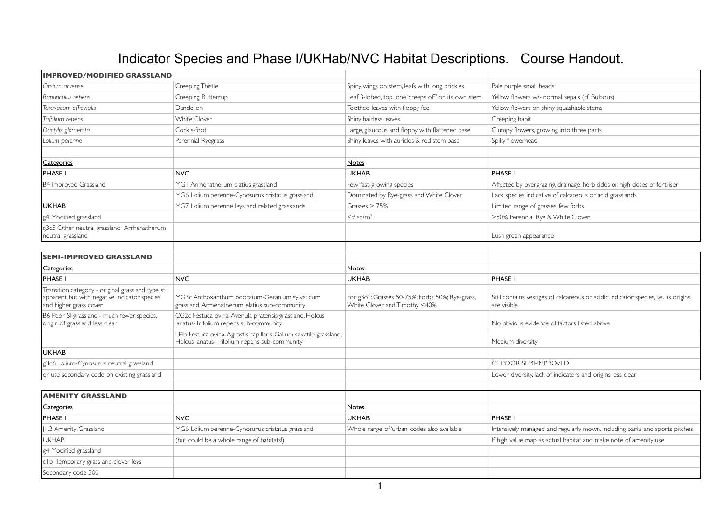## Indicator Species and Phase I/UKHab/NVC Habitat Descriptions. Course Handout.

| <b>IMPROVED/MODIFIED GRASSLAND</b>                                                                                            |                                                                                                                   |                                                                                  |                                                                                                    |
|-------------------------------------------------------------------------------------------------------------------------------|-------------------------------------------------------------------------------------------------------------------|----------------------------------------------------------------------------------|----------------------------------------------------------------------------------------------------|
| Cirsium arvense                                                                                                               | Creeping Thistle                                                                                                  | Spiny wings on stem, leafs with long prickles                                    | Pale purple small heads                                                                            |
| Ranunculus repens                                                                                                             | Creeping Buttercup                                                                                                | Leaf 3-lobed, top lobe 'creeps off' on its own stem                              | Yellow flowers w/- normal sepals (cf. Bulbous)                                                     |
| Taraxacum officinalis                                                                                                         | Dandelion                                                                                                         | Toothed leaves with floppy feel                                                  | Yellow flowers on shiny squashable stems                                                           |
| Trifolium repens                                                                                                              | White Clover                                                                                                      | Shiny hairless leaves                                                            | Creeping habit                                                                                     |
| Dactylis glomerata                                                                                                            | Cock's-foot                                                                                                       | Large, glaucous and floppy with flattened base                                   | Clumpy flowers, growing into three parts                                                           |
| Lolium perenne                                                                                                                | Perennial Ryegrass                                                                                                | Shiny leaves with auricles & red stem base                                       | Spiky flowerhead                                                                                   |
|                                                                                                                               |                                                                                                                   |                                                                                  |                                                                                                    |
| <b>Categories</b>                                                                                                             |                                                                                                                   | Notes                                                                            |                                                                                                    |
| <b>PHASE I</b>                                                                                                                | <b>NVC</b>                                                                                                        | <b>UKHAB</b>                                                                     | PHASE I                                                                                            |
| <b>B4 Improved Grassland</b>                                                                                                  | MGI Arrhenatherum elatius grassland                                                                               | Few fast-growing species                                                         | Affected by overgrazing, drainage, herbicides or high doses of fertiliser                          |
|                                                                                                                               | MG6 Lolium perenne-Cynosurus cristatus grassland                                                                  | Dominated by Rye-grass and White Clover                                          | Lack species indicative of calcareous or acid grasslands                                           |
| <b>UKHAB</b>                                                                                                                  | MG7 Lolium perenne leys and related grasslands                                                                    | Grasses $> 75%$                                                                  | Limited range of grasses, few forbs                                                                |
| g4 Modified grassland                                                                                                         |                                                                                                                   | $<9$ sp/m <sup>2</sup>                                                           | >50% Perennial Rye & White Clover                                                                  |
| g3c5 Other neutral grassland Arrhenatherum<br>neutral grassland                                                               |                                                                                                                   |                                                                                  | Lush green appearance                                                                              |
| <b>SEMI-IMPROVED GRASSLAND</b>                                                                                                |                                                                                                                   |                                                                                  |                                                                                                    |
| Categories                                                                                                                    |                                                                                                                   | <b>Notes</b>                                                                     |                                                                                                    |
| <b>PHASE I</b>                                                                                                                | <b>NVC</b>                                                                                                        | <b>UKHAB</b>                                                                     | <b>PHASE I</b>                                                                                     |
| Transition category - original grassland type still<br>apparent but with negative indicator species<br>and higher grass cover | MG3c Anthoxanthum odoratum-Geranium sylvaticum<br>grassland, Arrhenatherum elatius sub-community                  | For g3c6: Grasses 50-75%; Forbs 50%; Rye-grass,<br>White Clover and Timothy <40% | Still contains vestiges of calcareous or acidic indicator species, i.e. its origins<br>are visible |
| B6 Poor SI-grassland - much fewer species,<br>origin of grassland less clear                                                  | CG2c Festuca ovina-Avenula pratensis grassland, Holcus<br>lanatus-Trifolium repens sub-community                  |                                                                                  | No obvious evidence of factors listed above                                                        |
|                                                                                                                               | U4b Festuca ovina-Agrostis capillaris-Galium saxatile grassland,<br>Holcus lanatus-Trifolium repens sub-community |                                                                                  | Medium diversity                                                                                   |
| <b>UKHAB</b>                                                                                                                  |                                                                                                                   |                                                                                  |                                                                                                    |
| g3c6 Lolium-Cynosurus neutral grassland                                                                                       |                                                                                                                   |                                                                                  | CF POOR SEMI-IMPROVED                                                                              |
| or use secondary code on existing grassland                                                                                   |                                                                                                                   |                                                                                  | Lower diversity, lack of indicators and origins less clear                                         |
| <b>AMENITY GRASSLAND</b>                                                                                                      |                                                                                                                   |                                                                                  |                                                                                                    |
| Categories                                                                                                                    |                                                                                                                   | <b>Notes</b>                                                                     |                                                                                                    |
| <b>PHASE I</b>                                                                                                                | <b>NVC</b>                                                                                                        | <b>UKHAB</b>                                                                     | PHASE I                                                                                            |
| JI.2 Amenity Grassland                                                                                                        | MG6 Lolium perenne-Cynosurus cristatus grassland                                                                  | Whole range of 'urban' codes also available                                      | Intensively managed and regularly mown, including parks and sports pitches                         |
| <b>UKHAB</b>                                                                                                                  | (but could be a whole range of habitats!)                                                                         |                                                                                  | If high value map as actual habitat and make note of amenity use                                   |
| g4 Modified grassland                                                                                                         |                                                                                                                   |                                                                                  |                                                                                                    |
| c1b Temporary grass and clover leys                                                                                           |                                                                                                                   |                                                                                  |                                                                                                    |
| Secondary code 500                                                                                                            |                                                                                                                   |                                                                                  |                                                                                                    |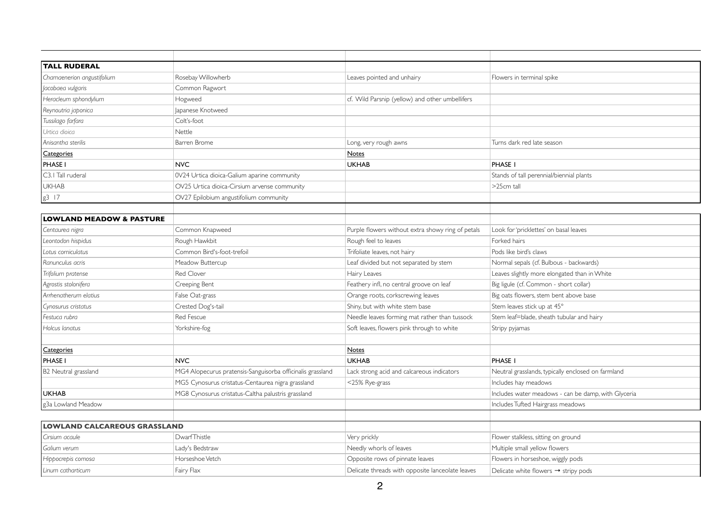| <b>TALL RUDERAL</b>                 |                                                            |                                                   |                                                     |
|-------------------------------------|------------------------------------------------------------|---------------------------------------------------|-----------------------------------------------------|
| Chamaenerion angustifolium          | Rosebay Willowherb                                         | Leaves pointed and unhairy                        | Flowers in terminal spike                           |
| Jacobaea vulgaris                   | Common Ragwort                                             |                                                   |                                                     |
| Heracleum sphondylium               | Hogweed                                                    | cf. Wild Parsnip (yellow) and other umbellifers   |                                                     |
| Reynoutria japonica                 | Japanese Knotweed                                          |                                                   |                                                     |
| Tussilago farfara                   | Colt's-foot                                                |                                                   |                                                     |
| Urtica dioica                       | Nettle                                                     |                                                   |                                                     |
| Anisantha sterilis                  | Barren Brome                                               | Long, very rough awns                             | Turns dark red late season                          |
| Categories                          |                                                            | <b>Notes</b>                                      |                                                     |
| <b>PHASE I</b>                      | <b>NVC</b>                                                 | <b>UKHAB</b>                                      | PHASE I                                             |
| C3.1 Tall ruderal                   | 0V24 Urtica dioica-Galium aparine community                |                                                   | Stands of tall perennial/biennial plants            |
| <b>UKHAB</b>                        | OV25 Urtica dioica-Cirsium arvense community               |                                                   | >25cm tall                                          |
| $g3$ 17                             | OV27 Epilobium angustifolium community                     |                                                   |                                                     |
|                                     |                                                            |                                                   |                                                     |
| <b>LOWLAND MEADOW &amp; PASTURE</b> |                                                            |                                                   |                                                     |
| Centaurea nigra                     | Common Knapweed                                            | Purple flowers without extra showy ring of petals | Look for 'pricklettes' on basal leaves              |
| Leontodon hispidus                  | Rough Hawkbit                                              | Rough feel to leaves                              | Forked hairs                                        |
| Lotus corniculatus                  | Common Bird's-foot-trefoil                                 | Trifoliate leaves, not hairy                      | Pods like bird's claws                              |
| Ranunculus acris                    | Meadow Buttercup                                           | Leaf divided but not separated by stem            | Normal sepals (cf. Bulbous - backwards)             |
| Trifolium pratense                  | Red Clover                                                 | <b>Hairy Leaves</b>                               | Leaves slightly more elongated than in White        |
| Agrostis stolonifera                | Creeping Bent                                              | Feathery infl, no central groove on leaf          | Big ligule (cf. Common - short collar)              |
| Arrhenatherum elatius               | False Oat-grass                                            | Orange roots, corkscrewing leaves                 | Big oats flowers, stem bent above base              |
| Cynosurus cristatus                 | Crested Dog's-tail                                         | Shiny, but with white stem base                   | Stem leaves stick up at 45°                         |
| Festuca rubra                       | Red Fescue                                                 | Needle leaves forming mat rather than tussock     | Stem leaf=blade, sheath tubular and hairy           |
| Holcus lanatus                      | Yorkshire-fog                                              | Soft leaves, flowers pink through to white        | Stripy pyjamas                                      |
|                                     |                                                            |                                                   |                                                     |
| Categories                          |                                                            | <b>Notes</b>                                      |                                                     |
| PHASE I                             | <b>NVC</b>                                                 | <b>UKHAB</b>                                      | PHASE I                                             |
| B2 Neutral grassland                | MG4 Alopecurus pratensis-Sanguisorba officinalis grassland | Lack strong acid and calcareous indicators        | Neutral grasslands, typically enclosed on farmland  |
|                                     | MG5 Cynosurus cristatus-Centaurea nigra grassland          | <25% Rye-grass                                    | Includes hay meadows                                |
| <b>UKHAB</b>                        | MG8 Cynosurus cristatus-Caltha palustris grassland         |                                                   | Includes water meadows - can be damp, with Glyceria |
| g3a Lowland Meadow                  |                                                            |                                                   | Includes Tufted Hairgrass meadows                   |
|                                     |                                                            |                                                   |                                                     |
| <b>LOWLAND CALCAREOUS GRASSLAND</b> |                                                            |                                                   |                                                     |
| Cirsium acaule                      | DwarfThistle                                               | Very prickly                                      | Flower stalkless, sitting on ground                 |
| Galium verum                        | Lady's Bedstraw                                            | Needly whorls of leaves                           | Multiple small yellow flowers                       |
| Hippocrepis comosa                  | Horseshoe Vetch                                            | Opposite rows of pinnate leaves                   | Flowers in horseshoe, wiggly pods                   |
| Linum catharticum                   | Fairy Flax                                                 | Delicate threads with opposite lanceolate leaves  | Delicate white flowers $\rightarrow$ stripy pods    |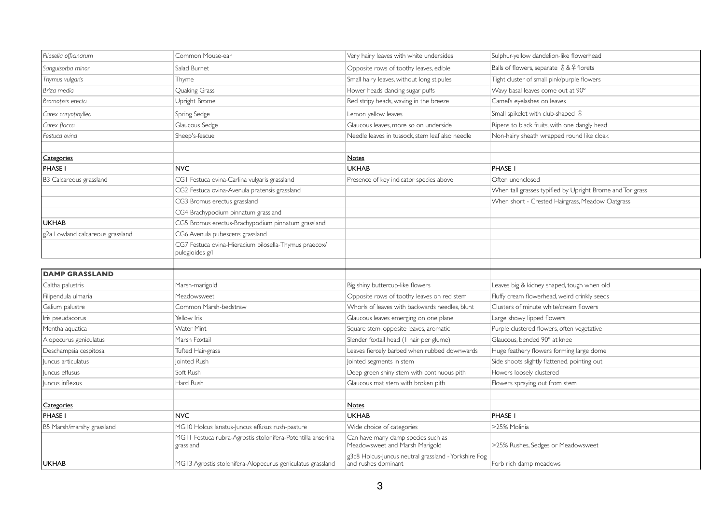| Pilosella officinarum            | Common Mouse-ear                                                         | Very hairy leaves with white undersides                                     | Sulphur-yellow dandelion-like flowerhead                  |
|----------------------------------|--------------------------------------------------------------------------|-----------------------------------------------------------------------------|-----------------------------------------------------------|
| Sanguisorba minor                | Salad Burnet                                                             | Opposite rows of toothy leaves, edible                                      | Balls of flowers, separate $\delta$ & $\Omega$ florets    |
| Thymus vulgaris                  | Thyme                                                                    | Small hairy leaves, without long stipules                                   | Tight cluster of small pink/purple flowers                |
| Briza media                      | Quaking Grass                                                            | Flower heads dancing sugar puffs                                            | Wavy basal leaves come out at 90°                         |
| Bromopsis erecta                 | Upright Brome                                                            | Red stripy heads, waving in the breeze                                      | Camel's eyelashes on leaves                               |
| Carex caryophyllea               | Spring Sedge                                                             | Lemon yellow leaves                                                         | Small spikelet with club-shaped \$                        |
| Carex flacca                     | Glaucous Sedge                                                           | Glaucous leaves, more so on underside                                       | Ripens to black fruits, with one dangly head              |
| Festuca ovina                    | Sheep's-fescue                                                           | Needle leaves in tussock, stem leaf also needle                             | Non-hairy sheath wrapped round like cloak                 |
|                                  |                                                                          |                                                                             |                                                           |
| <b>Categories</b>                |                                                                          | <b>Notes</b>                                                                |                                                           |
| <b>PHASE I</b>                   | <b>NVC</b>                                                               | <b>UKHAB</b>                                                                | <b>PHASE I</b>                                            |
| B3 Calcareous grassland          | CGI Festuca ovina-Carlina vulgaris grassland                             | Presence of key indicator species above                                     | Often unenclosed                                          |
|                                  | CG2 Festuca ovina-Avenula pratensis grassland                            |                                                                             | When tall grasses typified by Upright Brome and Tor grass |
|                                  | CG3 Bromus erectus grassland                                             |                                                                             | When short - Crested Hairgrass, Meadow Oatgrass           |
|                                  | CG4 Brachypodium pinnatum grassland                                      |                                                                             |                                                           |
| <b>UKHAB</b>                     | CG5 Bromus erectus-Brachypodium pinnatum grassland                       |                                                                             |                                                           |
| g2a Lowland calcareous grassland | CG6 Avenula pubescens grassland                                          |                                                                             |                                                           |
|                                  | CG7 Festuca ovina-Hieracium pilosella-Thymus praecox/<br>pulegioides g/l |                                                                             |                                                           |
| <b>DAMP GRASSLAND</b>            |                                                                          |                                                                             |                                                           |
| Caltha palustris                 | Marsh-marigold                                                           | Big shiny buttercup-like flowers                                            | Leaves big & kidney shaped, tough when old                |
| Filipendula ulmaria              | Meadowsweet                                                              | Opposite rows of toothy leaves on red stem                                  | Fluffy cream flowerhead, weird crinkly seeds              |
| Galium palustre                  | Common Marsh-bedstraw                                                    | Whorls of leaves with backwards needles, blunt                              | Clusters of minute white/cream flowers                    |
| Iris pseudacorus                 | Yellow Iris                                                              | Glaucous leaves emerging on one plane                                       | Large showy lipped flowers                                |
| Mentha aquatica                  | <b>Water Mint</b>                                                        | Square stem, opposite leaves, aromatic                                      | Purple clustered flowers, often vegetative                |
| Alopecurus geniculatus           | Marsh Foxtail                                                            | Slender foxtail head (1 hair per glume)                                     | Glaucous, bended 90° at knee                              |
| Deschampsia cespitosa            | Tufted Hair-grass                                                        | Leaves fiercely barbed when rubbed downwards                                | Huge feathery flowers forming large dome                  |
| Juncus articulatus               | Jointed Rush                                                             | Jointed segments in stem                                                    | Side shoots slightly flattened, pointing out              |
| luncus effusus                   | Soft Rush                                                                | Deep green shiny stem with continuous pith                                  | Flowers loosely clustered                                 |
| Juncus inflexus                  | Hard Rush                                                                | Glaucous mat stem with broken pith                                          | Flowers spraying out from stem                            |
|                                  |                                                                          |                                                                             |                                                           |
| <b>Categories</b>                |                                                                          | <b>Notes</b>                                                                |                                                           |
| <b>PHASE I</b>                   | <b>NVC</b>                                                               | <b>UKHAB</b>                                                                | PHASE I                                                   |
| B5 Marsh/marshy grassland        | MG10 Holcus lanatus-Juncus effusus rush-pasture                          | Wide choice of categories                                                   | >25% Molinia                                              |
|                                  | MGII Festuca rubra-Agrostis stolonifera-Potentilla anserina<br>grassland | Can have many damp species such as<br>Meadowsweet and Marsh Marigold        | >25% Rushes, Sedges or Meadowsweet                        |
| UKHAB                            | MG13 Agrostis stolonifera-Alopecurus geniculatus grassland               | g3c8 Holcus-Juncus neutral grassland - Yorkshire Fog<br>and rushes dominant | Forb rich damp meadows                                    |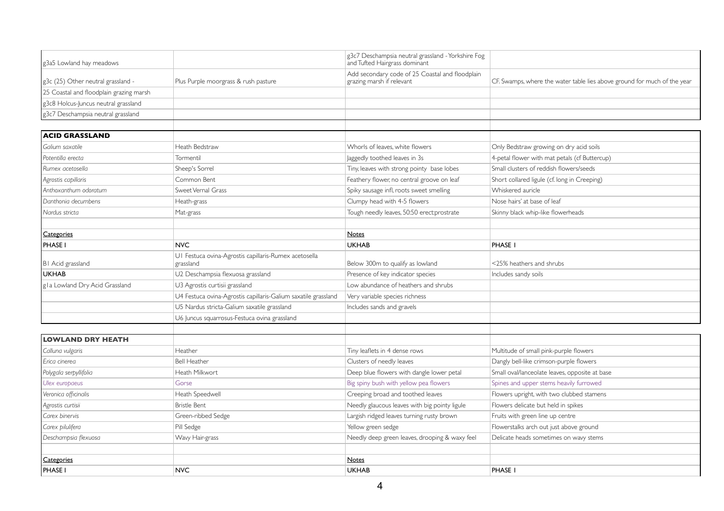| g3a5 Lowland hay meadows                |                                                                    | g3c7 Deschampsia neutral grassland - Yorkshire Fog<br>and Tufted Hairgrass dominant |                                                                          |
|-----------------------------------------|--------------------------------------------------------------------|-------------------------------------------------------------------------------------|--------------------------------------------------------------------------|
| g3c (25) Other neutral grassland -      | Plus Purple moorgrass & rush pasture                               | Add secondary code of 25 Coastal and floodplain<br>grazing marsh if relevant        | CF. Swamps, where the water table lies above ground for much of the year |
| 25 Coastal and floodplain grazing marsh |                                                                    |                                                                                     |                                                                          |
| g3c8 Holcus-Juncus neutral grassland    |                                                                    |                                                                                     |                                                                          |
| g3c7 Deschampsia neutral grassland      |                                                                    |                                                                                     |                                                                          |
|                                         |                                                                    |                                                                                     |                                                                          |
| <b>ACID GRASSLAND</b>                   |                                                                    |                                                                                     |                                                                          |
| Galium saxatile                         | Heath Bedstraw                                                     | Whorls of leaves, white flowers                                                     | Only Bedstraw growing on dry acid soils                                  |
| Potentilla erecta                       | Tormentil                                                          | Jaggedly toothed leaves in 3s                                                       | 4-petal flower with mat petals (cf Buttercup)                            |
| Rumex acetosella                        | Sheep's Sorrel                                                     | Tiny, leaves with strong pointy base lobes                                          | Small clusters of reddish flowers/seeds                                  |
| Agrostis capillaris                     | Common Bent                                                        | Feathery flower, no central groove on leaf                                          | Short collared ligule (cf. long in Creeping)                             |
| Anthoxanthum odoratum                   | Sweet Vernal Grass                                                 | Spiky sausage infl, roots sweet smelling                                            | Whiskered auricle                                                        |
| Danthonia decumbens                     | Heath-grass                                                        | Clumpy head with 4-5 flowers                                                        | Nose hairs' at base of leaf                                              |
| Nardus stricta                          | Mat-grass                                                          | Tough needly leaves, 50:50 erect:prostrate                                          | Skinny black whip-like flowerheads                                       |
|                                         |                                                                    |                                                                                     |                                                                          |
| Categories                              |                                                                    | <b>Notes</b>                                                                        |                                                                          |
| <b>PHASE I</b>                          | <b>NVC</b>                                                         | <b>UKHAB</b>                                                                        | <b>PHASE I</b>                                                           |
| BI Acid grassland                       | UI Festuca ovina-Agrostis capillaris-Rumex acetosella<br>grassland | Below 300m to qualify as lowland                                                    | <25% heathers and shrubs                                                 |
| <b>UKHAB</b>                            | U2 Deschampsia flexuosa grassland                                  | Presence of key indicator species                                                   | Includes sandy soils                                                     |
| gla Lowland Dry Acid Grassland          | U3 Agrostis curtisii grassland                                     | Low abundance of heathers and shrubs                                                |                                                                          |
|                                         | U4 Festuca ovina-Agrostis capillaris-Galium saxatile grassland     | Very variable species richness                                                      |                                                                          |
|                                         | U5 Nardus stricta-Galium saxatile grassland                        | Includes sands and gravels                                                          |                                                                          |
|                                         | U6 Juncus squarrosus-Festuca ovina grassland                       |                                                                                     |                                                                          |
|                                         |                                                                    |                                                                                     |                                                                          |
| <b>LOWLAND DRY HEATH</b>                |                                                                    |                                                                                     |                                                                          |
| Calluna vulgaris                        | Heather                                                            | Tiny leaflets in 4 dense rows                                                       | Multitude of small pink-purple flowers                                   |
| Erica cinerea                           | <b>Bell Heather</b>                                                | Clusters of needly leaves                                                           | Dangly bell-like crimson-purple flowers                                  |
| Polygala serpyllifolia                  | Heath Milkwort                                                     | Deep blue flowers with dangle lower petal                                           | Small oval/lanceolate leaves, opposite at base                           |
| Ulex europaeus                          | Gorse                                                              | Big spiny bush with yellow pea flowers                                              | Spines and upper stems heavily furrowed                                  |
| Veronica officinalis                    | Heath Speedwell                                                    | Creeping broad and toothed leaves                                                   | Flowers upright, with two clubbed stamens                                |
| Agrostis curtisii                       | <b>Bristle Bent</b>                                                | Needly glaucous leaves with big pointy ligule                                       | Flowers delicate but held in spikes                                      |
| Carex binervis                          | Green-ribbed Sedge                                                 | Largish ridged leaves turning rusty brown                                           | Fruits with green line up centre                                         |
| Carex pilulifera                        | Pill Sedge                                                         | Yellow green sedge                                                                  | Flowerstalks arch out just above ground                                  |
| Deschampsia flexuosa                    | Wavy Hair-grass                                                    | Needly deep green leaves, drooping & waxy feel                                      | Delicate heads sometimes on wavy stems                                   |
|                                         |                                                                    |                                                                                     |                                                                          |
| Categories                              |                                                                    | <b>Notes</b>                                                                        |                                                                          |
| <b>PHASE I</b>                          | <b>NVC</b>                                                         | <b>UKHAB</b>                                                                        | <b>PHASE I</b>                                                           |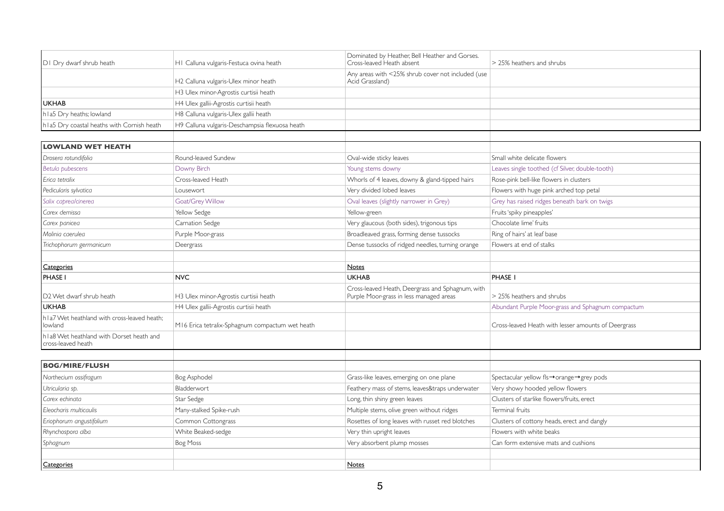| DI Dry dwarf shrub heath                                       | HI Calluna vulgaris-Festuca ovina heath         | Dominated by Heather, Bell Heather and Gorses.<br>Cross-leaved Heath absent                 | > 25% heathers and shrubs                           |
|----------------------------------------------------------------|-------------------------------------------------|---------------------------------------------------------------------------------------------|-----------------------------------------------------|
|                                                                | H2 Calluna vulgaris-Ulex minor heath            | Any areas with <25% shrub cover not included (use<br>Acid Grassland)                        |                                                     |
|                                                                | H3 Ulex minor-Agrostis curtisii heath           |                                                                                             |                                                     |
| <b>UKHAB</b>                                                   | H4 Ulex gallii-Agrostis curtisii heath          |                                                                                             |                                                     |
| h I a5 Dry heaths; lowland                                     | H8 Calluna vulgaris-Ulex gallii heath           |                                                                                             |                                                     |
| h I a5 Dry coastal heaths with Cornish heath                   | H9 Calluna vulgaris-Deschampsia flexuosa heath  |                                                                                             |                                                     |
| <b>LOWLAND WET HEATH</b>                                       |                                                 |                                                                                             |                                                     |
| Drosera rotundifolia                                           | Round-leaved Sundew                             | Oval-wide sticky leaves                                                                     | Small white delicate flowers                        |
| Betula pubescens                                               | Downy Birch                                     | Young stems downy                                                                           | Leaves single toothed (cf Silver, double-tooth)     |
| Erica tetralix                                                 | Cross-leaved Heath                              | Whorls of 4 leaves, downy & gland-tipped hairs                                              | Rose-pink bell-like flowers in clusters             |
| Pedicularis sylvatica                                          | Lousewort                                       | Very divided lobed leaves                                                                   | Flowers with huge pink arched top petal             |
| Salix caprealcinerea                                           | Goat/Grey Willow                                | Oval leaves (slightly narrower in Grey)                                                     | Grey has raised ridges beneath bark on twigs        |
| Carex demissa                                                  | Yellow Sedge                                    | Yellow-green                                                                                | Fruits 'spiky pineapples'                           |
| Carex panicea                                                  | Carnation Sedge                                 | Very glaucous (both sides), trigonous tips                                                  | Chocolate lime' fruits                              |
| Molinia caerulea                                               | Purple Moor-grass                               | Broadleaved grass, forming dense tussocks                                                   | Ring of hairs' at leaf base                         |
| Trichophorum germanicum                                        | Deergrass                                       | Dense tussocks of ridged needles, turning orange                                            | Flowers at end of stalks                            |
| Categories                                                     |                                                 | Notes                                                                                       |                                                     |
| <b>PHASE I</b>                                                 | <b>NVC</b>                                      | <b>UKHAB</b>                                                                                | <b>PHASE I</b>                                      |
| D <sub>2</sub> Wet dwarf shrub heath                           | H3 Ulex minor-Agrostis curtisii heath           | Cross-leaved Heath, Deergrass and Sphagnum, with<br>Purple Moor-grass in less managed areas | > 25% heathers and shrubs                           |
| <b>UKHAB</b>                                                   | H4 Ulex gallii-Agrostis curtisii heath          |                                                                                             | Abundant Purple Moor-grass and Sphagnum compactum   |
| hla7 Wet heathland with cross-leaved heath;<br>lowland         | M16 Erica tetralix-Sphagnum compactum wet heath |                                                                                             | Cross-leaved Heath with lesser amounts of Deergrass |
| hla8 Wet heathland with Dorset heath and<br>cross-leaved heath |                                                 |                                                                                             |                                                     |
| <b>BOG/MIRE/FLUSH</b>                                          |                                                 |                                                                                             |                                                     |
| Narthecium ossifragum                                          | Bog Asphodel                                    | Grass-like leaves, emerging on one plane                                                    | Spectacular yellow fls→orange→grey pods             |
| Utricularia sp.                                                | Bladderwort                                     | Feathery mass of stems, leaves&traps underwater                                             | Very showy hooded yellow flowers                    |
| Carex echinata                                                 | Star Sedge                                      | Long, thin shiny green leaves                                                               | Clusters of starlike flowers/fruits, erect          |
| Eleocharis multicaulis                                         | Many-stalked Spike-rush                         | Multiple stems, olive green without ridges                                                  | Terminal fruits                                     |
| Eriophorum angustifolium                                       | Common Cottongrass                              | Rosettes of long leaves with russet red blotches                                            | Clusters of cottony heads, erect and dangly         |
| Rhynchospora alba                                              | White Beaked-sedge                              | Very thin upright leaves                                                                    | Flowers with white beaks                            |
| Sphagnum                                                       | Bog Moss                                        | Very absorbent plump mosses                                                                 | Can form extensive mats and cushions                |
|                                                                |                                                 |                                                                                             |                                                     |
| <b>Categories</b>                                              |                                                 | <b>Notes</b>                                                                                |                                                     |
|                                                                |                                                 |                                                                                             |                                                     |